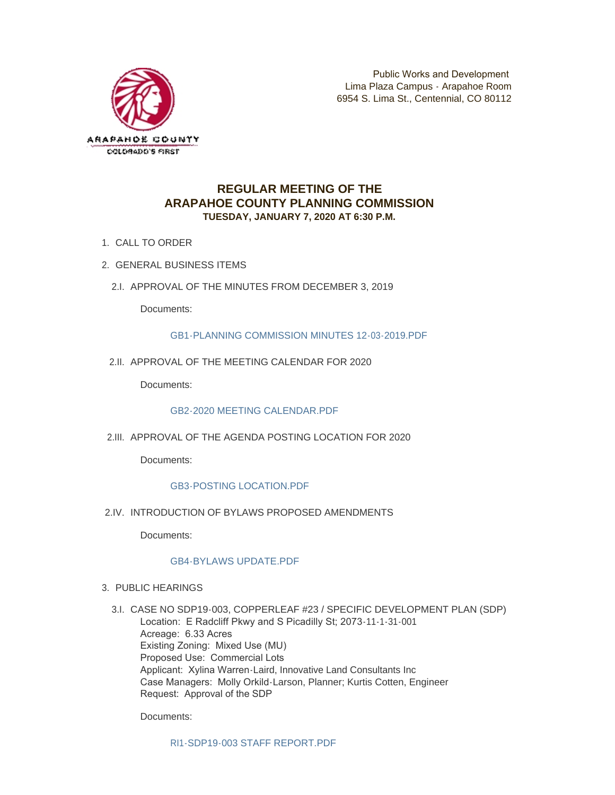

# **REGULAR MEETING OF THE ARAPAHOE COUNTY PLANNING COMMISSION TUESDAY, JANUARY 7, 2020 AT 6:30 P.M.**

- 1. CALL TO ORDER
- GENERAL BUSINESS ITEMS 2.
	- 2.I. APPROVAL OF THE MINUTES FROM DECEMBER 3, 2019

Documents:

[GB1-PLANNING COMMISSION MINUTES 12-03-2019.PDF](http://www.arapahoegov.com/AgendaCenter/ViewFile/Item/11690?fileID=18873)

2.II. APPROVAL OF THE MEETING CALENDAR FOR 2020

Documents:

[GB2-2020 MEETING CALENDAR.PDF](http://www.arapahoegov.com/AgendaCenter/ViewFile/Item/11691?fileID=18874)

2.III. APPROVAL OF THE AGENDA POSTING LOCATION FOR 2020

Documents:

## [GB3-POSTING LOCATION.PDF](http://www.arapahoegov.com/AgendaCenter/ViewFile/Item/11692?fileID=18875)

2.IV. INTRODUCTION OF BYLAWS PROPOSED AMENDMENTS

Documents:

### [GB4-BYLAWS UPDATE.PDF](http://www.arapahoegov.com/AgendaCenter/ViewFile/Item/11693?fileID=18876)

- 3. PUBLIC HEARINGS
	- CASE NO SDP19-003, COPPERLEAF #23 / SPECIFIC DEVELOPMENT PLAN (SDP) 3.I. Location: E Radcliff Pkwy and S Picadilly St; 2073-11-1-31-001 Acreage: 6.33 Acres Existing Zoning: Mixed Use (MU) Proposed Use: Commercial Lots Applicant: Xylina Warren-Laird, Innovative Land Consultants Inc Case Managers: Molly Orkild-Larson, Planner; Kurtis Cotten, Engineer Request: Approval of the SDP

Documents:

RI1-SDP19-003 STAFF REPORT PDF